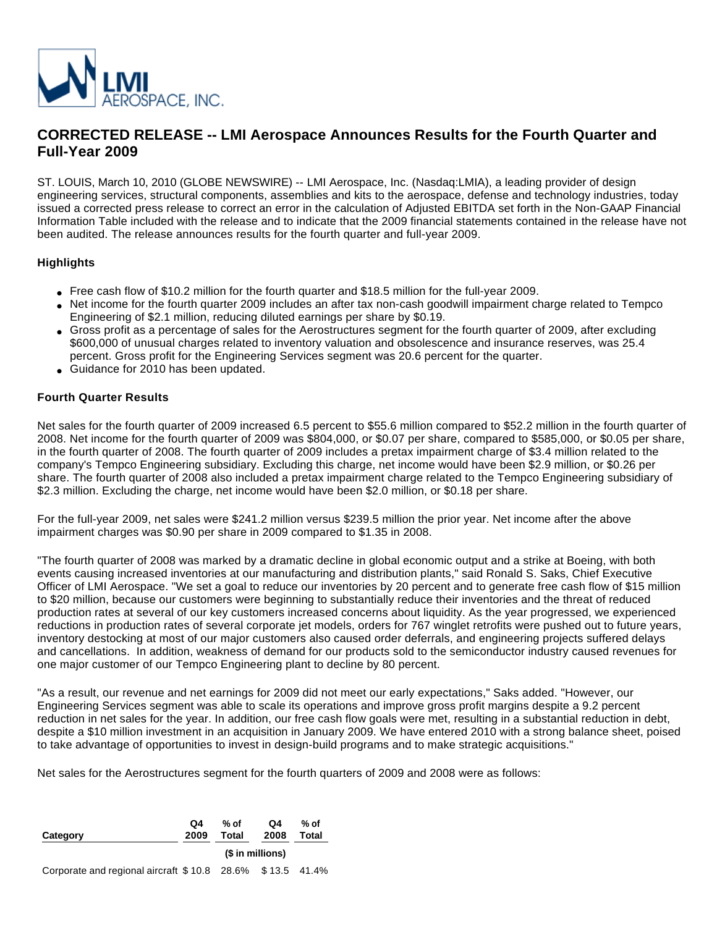

# **CORRECTED RELEASE -- LMI Aerospace Announces Results for the Fourth Quarter and Full-Year 2009**

ST. LOUIS, March 10, 2010 (GLOBE NEWSWIRE) -- LMI Aerospace, Inc. (Nasdaq:LMIA), a leading provider of design engineering services, structural components, assemblies and kits to the aerospace, defense and technology industries, today issued a corrected press release to correct an error in the calculation of Adjusted EBITDA set forth in the Non-GAAP Financial Information Table included with the release and to indicate that the 2009 financial statements contained in the release have not been audited. The release announces results for the fourth quarter and full-year 2009.

### **Highlights**

- Free cash flow of \$10.2 million for the fourth quarter and \$18.5 million for the full-year 2009.
- Net income for the fourth quarter 2009 includes an after tax non-cash goodwill impairment charge related to Tempco Engineering of \$2.1 million, reducing diluted earnings per share by \$0.19.
- Gross profit as a percentage of sales for the Aerostructures segment for the fourth quarter of 2009, after excluding \$600,000 of unusual charges related to inventory valuation and obsolescence and insurance reserves, was 25.4 percent. Gross profit for the Engineering Services segment was 20.6 percent for the quarter.
- Guidance for 2010 has been updated.

#### **Fourth Quarter Results**

Net sales for the fourth quarter of 2009 increased 6.5 percent to \$55.6 million compared to \$52.2 million in the fourth quarter of 2008. Net income for the fourth quarter of 2009 was \$804,000, or \$0.07 per share, compared to \$585,000, or \$0.05 per share, in the fourth quarter of 2008. The fourth quarter of 2009 includes a pretax impairment charge of \$3.4 million related to the company's Tempco Engineering subsidiary. Excluding this charge, net income would have been \$2.9 million, or \$0.26 per share. The fourth quarter of 2008 also included a pretax impairment charge related to the Tempco Engineering subsidiary of \$2.3 million. Excluding the charge, net income would have been \$2.0 million, or \$0.18 per share.

For the full-year 2009, net sales were \$241.2 million versus \$239.5 million the prior year. Net income after the above impairment charges was \$0.90 per share in 2009 compared to \$1.35 in 2008.

"The fourth quarter of 2008 was marked by a dramatic decline in global economic output and a strike at Boeing, with both events causing increased inventories at our manufacturing and distribution plants," said Ronald S. Saks, Chief Executive Officer of LMI Aerospace. "We set a goal to reduce our inventories by 20 percent and to generate free cash flow of \$15 million to \$20 million, because our customers were beginning to substantially reduce their inventories and the threat of reduced production rates at several of our key customers increased concerns about liquidity. As the year progressed, we experienced reductions in production rates of several corporate jet models, orders for 767 winglet retrofits were pushed out to future years, inventory destocking at most of our major customers also caused order deferrals, and engineering projects suffered delays and cancellations. In addition, weakness of demand for our products sold to the semiconductor industry caused revenues for one major customer of our Tempco Engineering plant to decline by 80 percent.

"As a result, our revenue and net earnings for 2009 did not meet our early expectations," Saks added. "However, our Engineering Services segment was able to scale its operations and improve gross profit margins despite a 9.2 percent reduction in net sales for the year. In addition, our free cash flow goals were met, resulting in a substantial reduction in debt, despite a \$10 million investment in an acquisition in January 2009. We have entered 2010 with a strong balance sheet, poised to take advantage of opportunities to invest in design-build programs and to make strategic acquisitions."

Net sales for the Aerostructures segment for the fourth quarters of 2009 and 2008 were as follows:

| Category                                                  | Q4<br>2009 | % of<br>Total    | Q4<br>2008 | % of<br>Total |  |
|-----------------------------------------------------------|------------|------------------|------------|---------------|--|
|                                                           |            | (\$ in millions) |            |               |  |
| Corporate and regional aircraft \$10.8 28.6% \$13.5 41.4% |            |                  |            |               |  |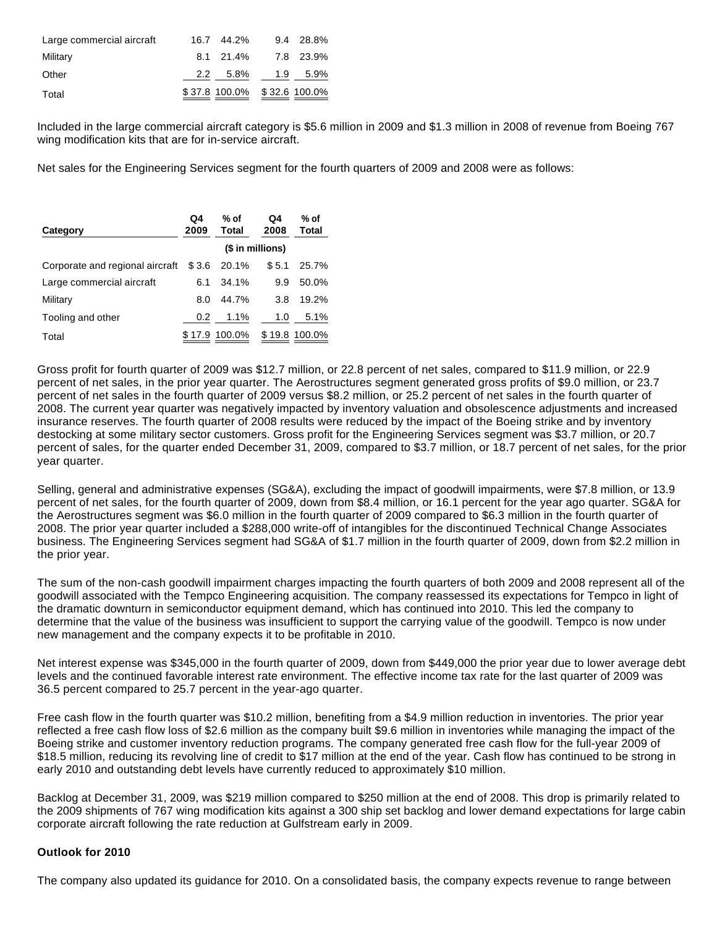| Large commercial aircraft | 16.7 44.2%                  | 9.4 28.8% |
|---------------------------|-----------------------------|-----------|
| Military                  | 8.1 21.4% 7.8 23.9%         |           |
| Other                     | 2.2 5.8% 1.9 5.9%           |           |
| Total                     | \$37.8 100.0% \$32.6 100.0% |           |

Included in the large commercial aircraft category is \$5.6 million in 2009 and \$1.3 million in 2008 of revenue from Boeing 767 wing modification kits that are for in-service aircraft.

Net sales for the Engineering Services segment for the fourth quarters of 2009 and 2008 were as follows:

| Category                        | Q4<br>2009       | $%$ of<br>Total | Q4<br>2008 | % of<br>Total |
|---------------------------------|------------------|-----------------|------------|---------------|
|                                 | (\$ in millions) |                 |            |               |
| Corporate and regional aircraft | \$3.6            | 20.1%           | \$5.1      | 25.7%         |
| Large commercial aircraft       | 6.1              | 34.1%           | 9.9        | 50.0%         |
| Military                        | 8.0              | 44.7%           | 3.8        | 19.2%         |
| Tooling and other               | 0.2              | 1.1%            | 1.0        | 5.1%          |
| Total                           |                  | \$17.9 100.0%   |            | \$19.8 100.0% |

Gross profit for fourth quarter of 2009 was \$12.7 million, or 22.8 percent of net sales, compared to \$11.9 million, or 22.9 percent of net sales, in the prior year quarter. The Aerostructures segment generated gross profits of \$9.0 million, or 23.7 percent of net sales in the fourth quarter of 2009 versus \$8.2 million, or 25.2 percent of net sales in the fourth quarter of 2008. The current year quarter was negatively impacted by inventory valuation and obsolescence adjustments and increased insurance reserves. The fourth quarter of 2008 results were reduced by the impact of the Boeing strike and by inventory destocking at some military sector customers. Gross profit for the Engineering Services segment was \$3.7 million, or 20.7 percent of sales, for the quarter ended December 31, 2009, compared to \$3.7 million, or 18.7 percent of net sales, for the prior year quarter.

Selling, general and administrative expenses (SG&A), excluding the impact of goodwill impairments, were \$7.8 million, or 13.9 percent of net sales, for the fourth quarter of 2009, down from \$8.4 million, or 16.1 percent for the year ago quarter. SG&A for the Aerostructures segment was \$6.0 million in the fourth quarter of 2009 compared to \$6.3 million in the fourth quarter of 2008. The prior year quarter included a \$288,000 write-off of intangibles for the discontinued Technical Change Associates business. The Engineering Services segment had SG&A of \$1.7 million in the fourth quarter of 2009, down from \$2.2 million in the prior year.

The sum of the non-cash goodwill impairment charges impacting the fourth quarters of both 2009 and 2008 represent all of the goodwill associated with the Tempco Engineering acquisition. The company reassessed its expectations for Tempco in light of the dramatic downturn in semiconductor equipment demand, which has continued into 2010. This led the company to determine that the value of the business was insufficient to support the carrying value of the goodwill. Tempco is now under new management and the company expects it to be profitable in 2010.

Net interest expense was \$345,000 in the fourth quarter of 2009, down from \$449,000 the prior year due to lower average debt levels and the continued favorable interest rate environment. The effective income tax rate for the last quarter of 2009 was 36.5 percent compared to 25.7 percent in the year-ago quarter.

Free cash flow in the fourth quarter was \$10.2 million, benefiting from a \$4.9 million reduction in inventories. The prior year reflected a free cash flow loss of \$2.6 million as the company built \$9.6 million in inventories while managing the impact of the Boeing strike and customer inventory reduction programs. The company generated free cash flow for the full-year 2009 of \$18.5 million, reducing its revolving line of credit to \$17 million at the end of the year. Cash flow has continued to be strong in early 2010 and outstanding debt levels have currently reduced to approximately \$10 million.

Backlog at December 31, 2009, was \$219 million compared to \$250 million at the end of 2008. This drop is primarily related to the 2009 shipments of 767 wing modification kits against a 300 ship set backlog and lower demand expectations for large cabin corporate aircraft following the rate reduction at Gulfstream early in 2009.

#### **Outlook for 2010**

The company also updated its guidance for 2010. On a consolidated basis, the company expects revenue to range between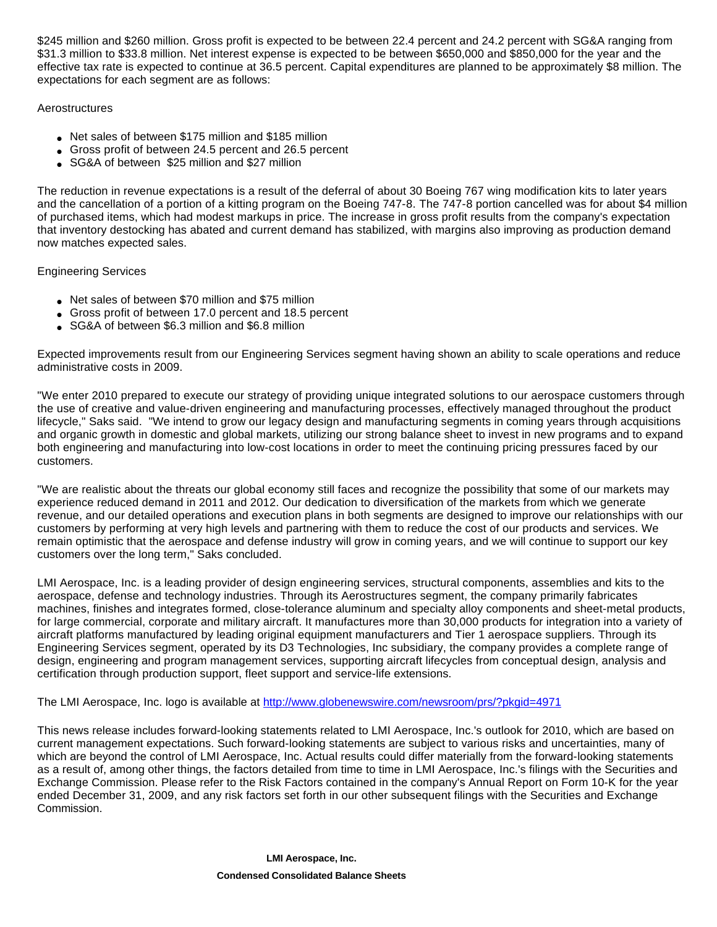\$245 million and \$260 million. Gross profit is expected to be between 22.4 percent and 24.2 percent with SG&A ranging from \$31.3 million to \$33.8 million. Net interest expense is expected to be between \$650,000 and \$850,000 for the year and the effective tax rate is expected to continue at 36.5 percent. Capital expenditures are planned to be approximately \$8 million. The expectations for each segment are as follows:

### **Aerostructures**

- Net sales of between \$175 million and \$185 million
- Gross profit of between 24.5 percent and 26.5 percent
- SG&A of between \$25 million and \$27 million

The reduction in revenue expectations is a result of the deferral of about 30 Boeing 767 wing modification kits to later years and the cancellation of a portion of a kitting program on the Boeing 747-8. The 747-8 portion cancelled was for about \$4 million of purchased items, which had modest markups in price. The increase in gross profit results from the company's expectation that inventory destocking has abated and current demand has stabilized, with margins also improving as production demand now matches expected sales.

Engineering Services

- Net sales of between \$70 million and \$75 million
- Gross profit of between 17.0 percent and 18.5 percent
- SG&A of between \$6.3 million and \$6.8 million

Expected improvements result from our Engineering Services segment having shown an ability to scale operations and reduce administrative costs in 2009.

"We enter 2010 prepared to execute our strategy of providing unique integrated solutions to our aerospace customers through the use of creative and value-driven engineering and manufacturing processes, effectively managed throughout the product lifecycle," Saks said. "We intend to grow our legacy design and manufacturing segments in coming years through acquisitions and organic growth in domestic and global markets, utilizing our strong balance sheet to invest in new programs and to expand both engineering and manufacturing into low-cost locations in order to meet the continuing pricing pressures faced by our customers.

"We are realistic about the threats our global economy still faces and recognize the possibility that some of our markets may experience reduced demand in 2011 and 2012. Our dedication to diversification of the markets from which we generate revenue, and our detailed operations and execution plans in both segments are designed to improve our relationships with our customers by performing at very high levels and partnering with them to reduce the cost of our products and services. We remain optimistic that the aerospace and defense industry will grow in coming years, and we will continue to support our key customers over the long term," Saks concluded.

LMI Aerospace, Inc. is a leading provider of design engineering services, structural components, assemblies and kits to the aerospace, defense and technology industries. Through its Aerostructures segment, the company primarily fabricates machines, finishes and integrates formed, close-tolerance aluminum and specialty alloy components and sheet-metal products, for large commercial, corporate and military aircraft. It manufactures more than 30,000 products for integration into a variety of aircraft platforms manufactured by leading original equipment manufacturers and Tier 1 aerospace suppliers. Through its Engineering Services segment, operated by its D3 Technologies, Inc subsidiary, the company provides a complete range of design, engineering and program management services, supporting aircraft lifecycles from conceptual design, analysis and certification through production support, fleet support and service-life extensions.

The LMI Aerospace, Inc. logo is available at http://www.globenewswire.com/newsroom/prs/?pkqid=4971

This news release includes forward-looking statements related to LMI Aerospace, Inc.'s outlook for 2010, which are based on current management expectations. Such forward-looking statements are subject to various risks and uncertainties, many of which are beyond the control of LMI Aerospace, Inc. Actual results could differ materially from the forward-looking statements as a result of, among other things, the factors detailed from time to time in LMI Aerospace, Inc.'s filings with the Securities and Exchange Commission. Please refer to the Risk Factors contained in the company's Annual Report on Form 10-K for the year ended December 31, 2009, and any risk factors set forth in our other subsequent filings with the Securities and Exchange Commission.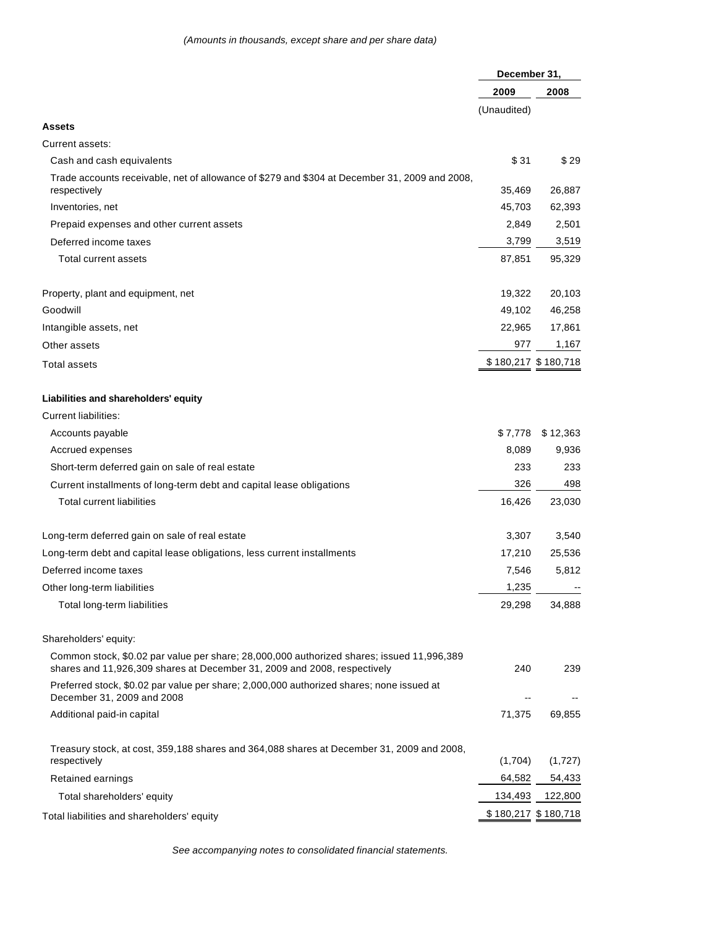|                                                                                                                                                                       | December 31, |                     |
|-----------------------------------------------------------------------------------------------------------------------------------------------------------------------|--------------|---------------------|
|                                                                                                                                                                       | 2009         | 2008                |
|                                                                                                                                                                       | (Unaudited)  |                     |
| <b>Assets</b>                                                                                                                                                         |              |                     |
| Current assets:                                                                                                                                                       |              |                     |
| Cash and cash equivalents                                                                                                                                             | \$31         | \$29                |
| Trade accounts receivable, net of allowance of \$279 and \$304 at December 31, 2009 and 2008,<br>respectively                                                         | 35,469       | 26,887              |
| Inventories, net                                                                                                                                                      | 45,703       | 62,393              |
| Prepaid expenses and other current assets                                                                                                                             | 2,849        | 2,501               |
| Deferred income taxes                                                                                                                                                 | 3,799        | 3,519               |
| Total current assets                                                                                                                                                  | 87,851       | 95,329              |
| Property, plant and equipment, net                                                                                                                                    | 19,322       | 20,103              |
| Goodwill                                                                                                                                                              | 49,102       | 46,258              |
| Intangible assets, net                                                                                                                                                | 22,965       | 17,861              |
| Other assets                                                                                                                                                          | 977          | 1,167               |
| Total assets                                                                                                                                                          |              | \$180,217 \$180,718 |
| Liabilities and shareholders' equity                                                                                                                                  |              |                     |
| Current liabilities:                                                                                                                                                  |              |                     |
| Accounts payable                                                                                                                                                      | \$7,778      | \$12,363            |
| Accrued expenses                                                                                                                                                      | 8,089        | 9,936               |
| Short-term deferred gain on sale of real estate                                                                                                                       | 233          | 233                 |
| Current installments of long-term debt and capital lease obligations                                                                                                  | 326          | 498                 |
| <b>Total current liabilities</b>                                                                                                                                      | 16,426       | 23,030              |
| Long-term deferred gain on sale of real estate                                                                                                                        | 3,307        | 3,540               |
| Long-term debt and capital lease obligations, less current installments                                                                                               | 17,210       | 25,536              |
| Deferred income taxes                                                                                                                                                 | 7,546        | 5,812               |
| Other long-term liabilities                                                                                                                                           | 1,235        |                     |
| Total long-term liabilities                                                                                                                                           | 29,298       | 34,888              |
| Shareholders' equity:                                                                                                                                                 |              |                     |
| Common stock, \$0.02 par value per share; 28,000,000 authorized shares; issued 11,996,389<br>shares and 11,926,309 shares at December 31, 2009 and 2008, respectively | 240          | 239                 |
| Preferred stock, \$0.02 par value per share; 2,000,000 authorized shares; none issued at<br>December 31, 2009 and 2008                                                |              |                     |
| Additional paid-in capital                                                                                                                                            | 71,375       | 69,855              |
| Treasury stock, at cost, 359,188 shares and 364,088 shares at December 31, 2009 and 2008,<br>respectively                                                             | (1,704)      | (1,727)             |
| Retained earnings                                                                                                                                                     | 64,582       | 54,433              |
| Total shareholders' equity                                                                                                                                            | 134,493      | 122,800             |
| Total liabilities and shareholders' equity                                                                                                                            |              | \$180,217 \$180,718 |

See accompanying notes to consolidated financial statements.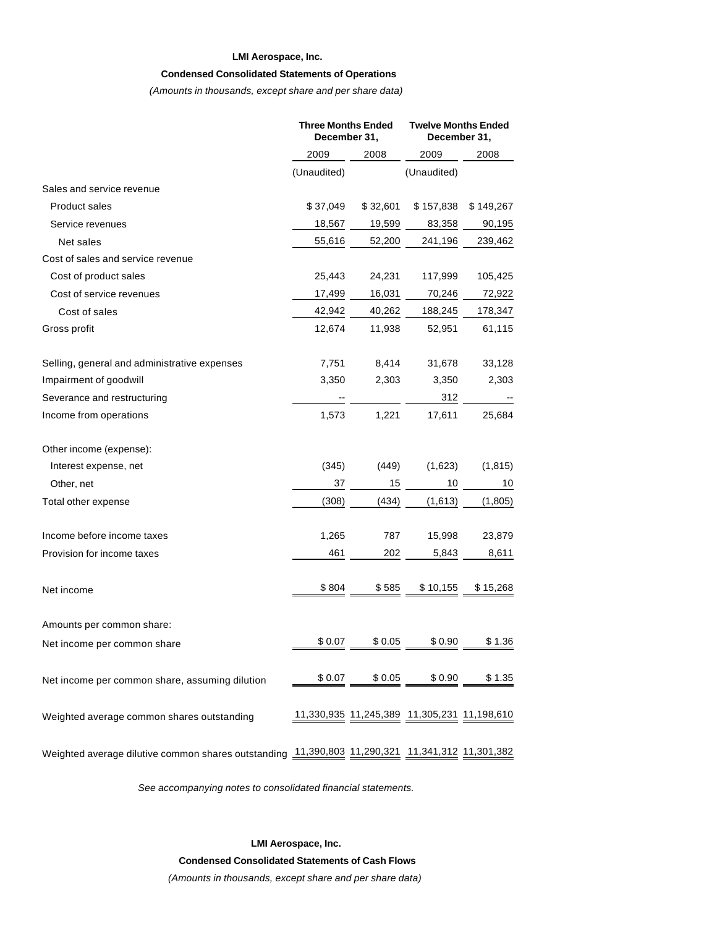#### **LMI Aerospace, Inc.**

#### **Condensed Consolidated Statements of Operations**

(Amounts in thousands, except share and per share data)

|                                                                                                 | <b>Three Months Ended</b><br>December 31, |          | <b>Twelve Months Ended</b><br>December 31,  |           |
|-------------------------------------------------------------------------------------------------|-------------------------------------------|----------|---------------------------------------------|-----------|
|                                                                                                 | 2009                                      | 2008     | 2009                                        | 2008      |
|                                                                                                 | (Unaudited)                               |          | (Unaudited)                                 |           |
| Sales and service revenue                                                                       |                                           |          |                                             |           |
| <b>Product sales</b>                                                                            | \$37,049                                  | \$32,601 | \$157,838                                   | \$149,267 |
| Service revenues                                                                                | 18,567                                    | 19,599   | 83,358                                      | 90,195    |
| Net sales                                                                                       | 55,616                                    | 52,200   | 241,196                                     | 239,462   |
| Cost of sales and service revenue                                                               |                                           |          |                                             |           |
| Cost of product sales                                                                           | 25,443                                    | 24,231   | 117,999                                     | 105,425   |
| Cost of service revenues                                                                        | 17,499                                    | 16,031   | 70,246                                      | 72,922    |
| Cost of sales                                                                                   | 42,942                                    | 40,262   | 188,245                                     | 178,347   |
| Gross profit                                                                                    | 12,674                                    | 11,938   | 52,951                                      | 61,115    |
| Selling, general and administrative expenses                                                    | 7,751                                     | 8,414    | 31,678                                      | 33,128    |
| Impairment of goodwill                                                                          | 3,350                                     | 2,303    | 3,350                                       | 2,303     |
| Severance and restructuring                                                                     |                                           |          | 312                                         |           |
| Income from operations                                                                          | 1,573                                     | 1,221    | 17,611                                      | 25,684    |
| Other income (expense):                                                                         |                                           |          |                                             |           |
| Interest expense, net                                                                           | (345)                                     | (449)    | (1,623)                                     | (1, 815)  |
| Other, net                                                                                      | 37                                        | 15       | 10                                          | 10        |
| Total other expense                                                                             | (308)                                     | (434)    | (1,613)                                     | (1,805)   |
| Income before income taxes                                                                      | 1,265                                     | 787      | 15,998                                      | 23,879    |
| Provision for income taxes                                                                      | 461                                       | 202      | 5,843                                       | 8,611     |
| Net income                                                                                      | \$804                                     | \$585    | \$10,155                                    | \$15,268  |
| Amounts per common share:                                                                       |                                           |          |                                             |           |
| Net income per common share                                                                     | \$0.07                                    | \$0.05   | \$0.90                                      | \$1.36    |
| Net income per common share, assuming dilution                                                  |                                           |          | $$0.07$ $$0.05$ $$0.90$ $\qquad$            | \$1.35    |
| Weighted average common shares outstanding                                                      |                                           |          | 11,330,935 11,245,389 11,305,231 11,198,610 |           |
| Weighted average dilutive common shares outstanding 11,390,803 11,290,321 11,341,312 11,301,382 |                                           |          |                                             |           |

See accompanying notes to consolidated financial statements.

**LMI Aerospace, Inc. Condensed Consolidated Statements of Cash Flows** (Amounts in thousands, except share and per share data)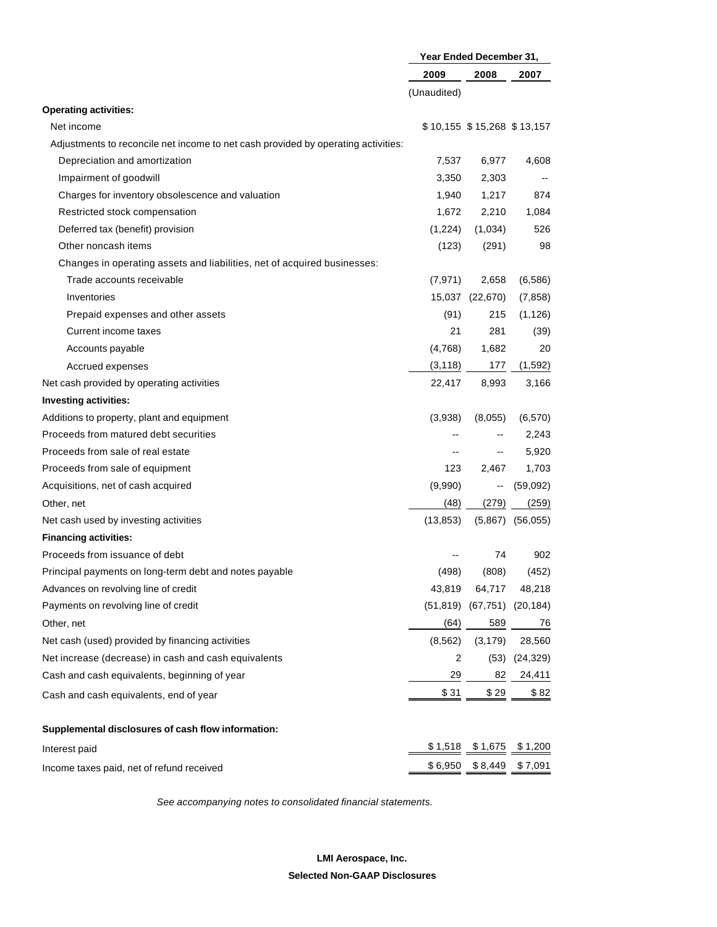|                                                                                   | Year Ended December 31, |                            |           |
|-----------------------------------------------------------------------------------|-------------------------|----------------------------|-----------|
|                                                                                   | 2009                    | 2008                       | 2007      |
|                                                                                   | (Unaudited)             |                            |           |
| <b>Operating activities:</b>                                                      |                         |                            |           |
| Net income                                                                        |                         | \$10,155 \$15,268 \$13,157 |           |
| Adjustments to reconcile net income to net cash provided by operating activities: |                         |                            |           |
| Depreciation and amortization                                                     | 7,537                   | 6,977                      | 4,608     |
| Impairment of goodwill                                                            | 3,350                   | 2,303                      |           |
| Charges for inventory obsolescence and valuation                                  | 1,940                   | 1,217                      | 874       |
| Restricted stock compensation                                                     | 1,672                   | 2,210                      | 1,084     |
| Deferred tax (benefit) provision                                                  | (1,224)                 | (1,034)                    | 526       |
| Other noncash items                                                               | (123)                   | (291)                      | 98        |
| Changes in operating assets and liabilities, net of acquired businesses:          |                         |                            |           |
| Trade accounts receivable                                                         | (7, 971)                | 2,658                      | (6, 586)  |
| Inventories                                                                       |                         | 15,037 (22,670)            | (7, 858)  |
| Prepaid expenses and other assets                                                 | (91)                    | 215                        | (1, 126)  |
| Current income taxes                                                              | 21                      | 281                        | (39)      |
| Accounts payable                                                                  | (4,768)                 | 1,682                      | 20        |
| Accrued expenses                                                                  | (3, 118)                | 177                        | (1,592)   |
| Net cash provided by operating activities                                         | 22,417                  | 8,993                      | 3,166     |
| <b>Investing activities:</b>                                                      |                         |                            |           |
| Additions to property, plant and equipment                                        | (3,938)                 | (8,055)                    | (6, 570)  |
| Proceeds from matured debt securities                                             |                         |                            | 2,243     |
| Proceeds from sale of real estate                                                 | --                      | --                         | 5,920     |
| Proceeds from sale of equipment                                                   | 123                     | 2,467                      | 1,703     |
| Acquisitions, net of cash acquired                                                | (9,990)                 | --                         | (59,092)  |
| Other, net                                                                        | (48)                    | (279)                      | (259)     |
| Net cash used by investing activities                                             | (13, 853)               | (5,867)                    | (56, 055) |
| <b>Financing activities:</b>                                                      |                         |                            |           |
| Proceeds from issuance of debt                                                    |                         | 74                         | 902       |
| Principal payments on long-term debt and notes payable                            | (498)                   | (808)                      | (452)     |
| Advances on revolving line of credit                                              | 43,819                  | 64,717                     | 48,218    |
| Payments on revolving line of credit                                              |                         | $(51,819)$ $(67,751)$      | (20, 184) |
| Other, net                                                                        | (64)                    | 589                        | 76        |
| Net cash (used) provided by financing activities                                  | (8, 562)                | (3, 179)                   | 28,560    |
| Net increase (decrease) in cash and cash equivalents                              | 2                       | (53)                       | (24, 329) |
| Cash and cash equivalents, beginning of year                                      | 29                      | 82                         | 24,411    |
| Cash and cash equivalents, end of year                                            | \$31                    | \$29                       | \$82      |
| Supplemental disclosures of cash flow information:                                |                         |                            |           |
| Interest paid                                                                     | \$1,518                 | \$1,675                    | \$1,200   |
| Income taxes paid, net of refund received                                         | \$6,950                 | \$8,449                    | \$7,091   |
|                                                                                   |                         |                            |           |

See accompanying notes to consolidated financial statements.